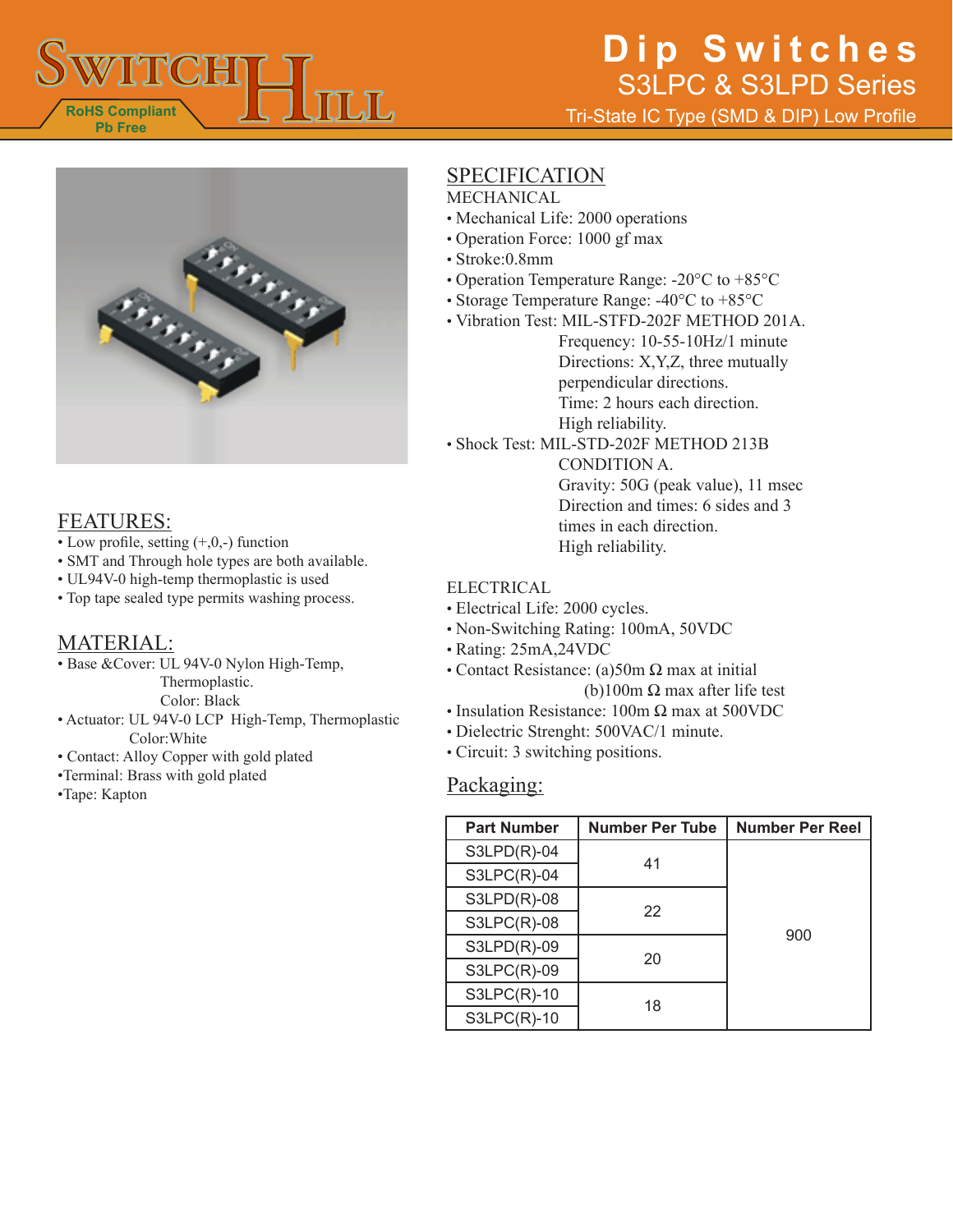

# **Dip Switches** S3LPC & S3LPD Series

Tri-State IC Type (SMD & DIP) Low Profile



## FEATURES:

- Low profile, setting  $(+,0,-)$  function
- SMT and Through hole types are both available.
- UL94V-0 high-temp thermoplastic is used
- Top tape sealed type permits washing process.

#### MATERIAL:

• Base &Cover: UL 94V-0 Nylon High-Temp, Thermoplastic.

Color: Black

- Actuator: UL 94V-0 LCP High-Temp, Thermoplastic Color:White
- Contact: Alloy Copper with gold plated
- •Terminal: Brass with gold plated
- •Tape: Kapton

## **SPECIFICATION**

- MECHANICAL
- Mechanical Life: 2000 operations
- Operation Force: 1000 gf max
- Stroke:0.8mm
- Operation Temperature Range: -20°C to +85°C
- Storage Temperature Range: -40°C to +85°C
- Vibration Test: MIL-STFD-202F METHOD 201A.
	- Frequency: 10-55-10Hz/1 minute Directions: X,Y,Z, three mutually perpendicular directions. Time: 2 hours each direction. High reliability.
- Shock Test: MIL-STD-202F METHOD 213B

CONDITION A.

Gravity: 50G (peak value), 11 msec Direction and times: 6 sides and 3 times in each direction. High reliability.

#### ELECTRICAL

- Electrical Life: 2000 cycles.
- Non-Switching Rating: 100mA, 50VDC
- Rating: 25mA,24VDC
- Contact Resistance: (a)50m  $\Omega$  max at initial
	- (b)100m  $\Omega$  max after life test
- Insulation Resistance: 100m Ω max at 500VDC
- Dielectric Strenght: 500VAC/1 minute.
- Circuit: 3 switching positions.

#### Packaging:

| <b>Part Number</b> | <b>Number Per Tube</b> | <b>Number Per Reel</b> |
|--------------------|------------------------|------------------------|
| $S3LPD(R)-04$      | 41                     | 900                    |
| $S3LPC(R)-04$      |                        |                        |
| $S3LPD(R)-08$      | 22                     |                        |
| $S3LPC(R)-08$      |                        |                        |
| S3LPD(R)-09        | 20                     |                        |
| <b>S3LPC(R)-09</b> |                        |                        |
| $S3LPC(R)-10$      | 18                     |                        |
| $S3LPC(R)-10$      |                        |                        |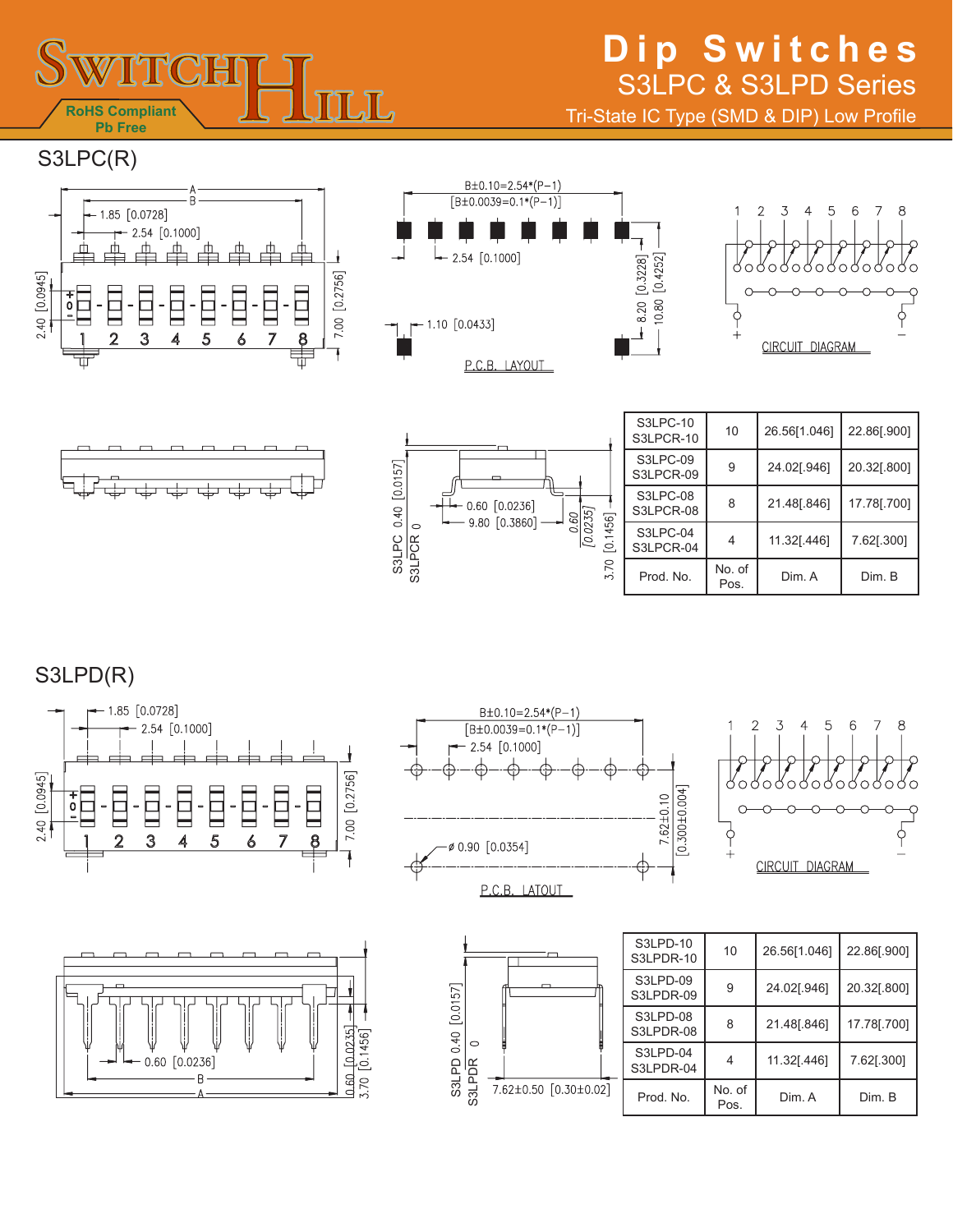

## **Dip Switches** S3LPC & S3LPD Series

Tri-State IC Type (SMD & DIP) Low Profile

S3LPC(R)











|  | S3LPC-10<br>S3LPCR-10 | 10             | 26.56[1.046] | 22.86[.900] |
|--|-----------------------|----------------|--------------|-------------|
|  | S3LPC-09<br>S3LPCR-09 | 9              | 24.02[.946]  | 20.32[.800] |
|  | S3LPC-08<br>S3LPCR-08 | 8              | 21.48[.846]  | 17.78[.700] |
|  | S3LPC-04<br>S3LPCR-04 | 4              | 11.32[.446]  | 7.62[.300]  |
|  | Prod. No.             | No. of<br>Pos. | Dim. A       | Dim. B      |

S3LPD(R)